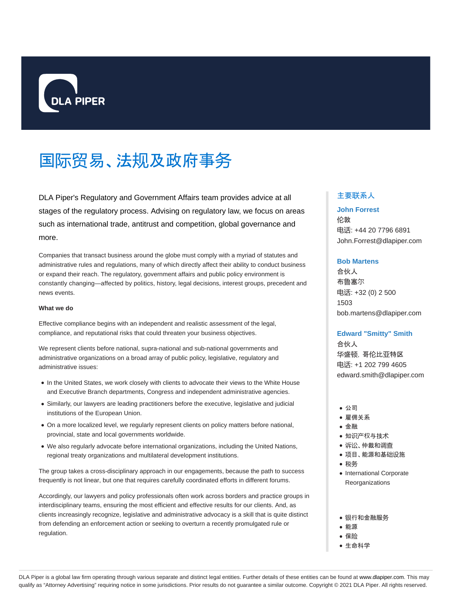

# 国际贸易、法规及政府事务

DLA Piper's Regulatory and Government Affairs team provides advice at all stages of the regulatory process. Advising on regulatory law, we focus on areas such as international trade, antitrust and competition, global governance and more.

Companies that transact business around the globe must comply with a myriad of statutes and administrative rules and regulations, many of which directly affect their ability to conduct business or expand their reach. The regulatory, government affairs and public policy environment is constantly changing—affected by politics, history, legal decisions, interest groups, precedent and news events.

#### **What we do**

Effective compliance begins with an independent and realistic assessment of the legal, compliance, and reputational risks that could threaten your business objectives.

We represent clients before national, supra-national and sub-national governments and administrative organizations on a broad array of public policy, legislative, regulatory and administrative issues:

- In the United States, we work closely with clients to advocate their views to the White House and Executive Branch departments, Congress and independent administrative agencies.
- Similarly, our lawyers are leading practitioners before the executive, legislative and judicial institutions of the European Union.
- On a more localized level, we regularly represent clients on policy matters before national, provincial, state and local governments worldwide.
- We also regularly advocate before international organizations, including the United Nations, regional treaty organizations and multilateral development institutions.

The group takes a cross-disciplinary approach in our engagements, because the path to success frequently is not linear, but one that requires carefully coordinated efforts in different forums.

Accordingly, our lawyers and policy professionals often work across borders and practice groups in interdisciplinary teams, ensuring the most efficient and effective results for our clients. And, as clients increasingly recognize, legislative and administrative advocacy is a skill that is quite distinct from defending an enforcement action or seeking to overturn a recently promulgated rule or regulation.

## 主要联系人

### **John Forrest**

伦敦 电话: +44 20 7796 6891 John.Forrest@dlapiper.com

#### **Bob Martens**

合伙人 布鲁塞尔 电话: +32 (0) 2 500 1503 bob.martens@dlapiper.com

## **Edward "Smitty" Smith**

合伙人 华盛顿,哥伦比亚特区 电话: +1 202 799 4605 edward.smith@dlapiper.com

- 公司
- 雇佣关系
- 金融
- 知识产权与技术
- 诉讼、仲裁和调查
- 项目、能源和基础设施
- 税务
- International Corporate **Reorganizations**
- 银行和金融服务
- 能源
- 保险
- 生命科学

DLA Piper is a global law firm operating through various separate and distinct legal entities. Further details of these entities can be found at www.dlapiper.com. This may qualify as "Attorney Advertising" requiring notice in some jurisdictions. Prior results do not guarantee a similar outcome. Copyright @ 2021 DLA Piper. All rights reserved.